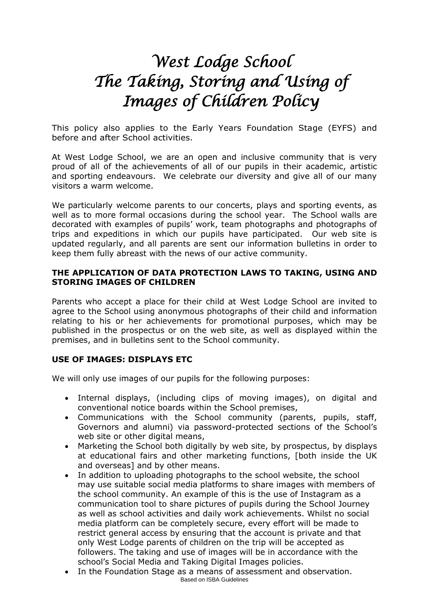# *West Lodge School The Taking, Storing and Using of Images of Children Policy*

This policy also applies to the Early Years Foundation Stage (EYFS) and before and after School activities.

At West Lodge School, we are an open and inclusive community that is very proud of all of the achievements of all of our pupils in their academic, artistic and sporting endeavours. We celebrate our diversity and give all of our many visitors a warm welcome.

We particularly welcome parents to our concerts, plays and sporting events, as well as to more formal occasions during the school year. The School walls are decorated with examples of pupils' work, team photographs and photographs of trips and expeditions in which our pupils have participated. Our web site is updated regularly, and all parents are sent our information bulletins in order to keep them fully abreast with the news of our active community.

## **THE APPLICATION OF DATA PROTECTION LAWS TO TAKING, USING AND STORING IMAGES OF CHILDREN**

Parents who accept a place for their child at West Lodge School are invited to agree to the School using anonymous photographs of their child and information relating to his or her achievements for promotional purposes, which may be published in the prospectus or on the web site, as well as displayed within the premises, and in bulletins sent to the School community.

### **USE OF IMAGES: DISPLAYS ETC**

We will only use images of our pupils for the following purposes:

- Internal displays, (including clips of moving images), on digital and conventional notice boards within the School premises,
- Communications with the School community (parents, pupils, staff, Governors and alumni) via password-protected sections of the School's web site or other digital means,
- Marketing the School both digitally by web site, by prospectus, by displays at educational fairs and other marketing functions, [both inside the UK and overseas] and by other means.
- In addition to uploading photographs to the school website, the school may use suitable social media platforms to share images with members of the school community. An example of this is the use of Instagram as a communication tool to share pictures of pupils during the School Journey as well as school activities and daily work achievements. Whilst no social media platform can be completely secure, every effort will be made to restrict general access by ensuring that the account is private and that only West Lodge parents of children on the trip will be accepted as followers. The taking and use of images will be in accordance with the school's Social Media and Taking Digital Images policies.
- Based on ISBA Guidelines In the Foundation Stage as a means of assessment and observation.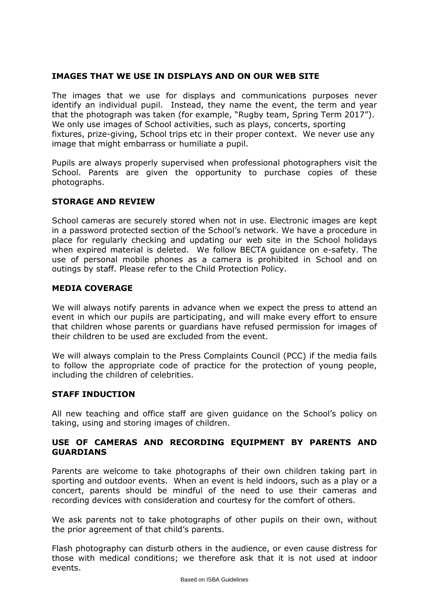### **IMAGES THAT WE USE IN DISPLAYS AND ON OUR WEB SITE**

The images that we use for displays and communications purposes never identify an individual pupil. Instead, they name the event, the term and year that the photograph was taken (for example, "Rugby team, Spring Term 2017"). We only use images of School activities, such as plays, concerts, sporting fixtures, prize-giving, School trips etc in their proper context. We never use any image that might embarrass or humiliate a pupil.

Pupils are always properly supervised when professional photographers visit the School. Parents are given the opportunity to purchase copies of these photographs.

### **STORAGE AND REVIEW**

School cameras are securely stored when not in use. Electronic images are kept in a password protected section of the School's network. We have a procedure in place for regularly checking and updating our web site in the School holidays when expired material is deleted. We follow BECTA guidance on e-safety. The use of personal mobile phones as a camera is prohibited in School and on outings by staff. Please refer to the Child Protection Policy.

### **MEDIA COVERAGE**

We will always notify parents in advance when we expect the press to attend an event in which our pupils are participating, and will make every effort to ensure that children whose parents or guardians have refused permission for images of their children to be used are excluded from the event.

We will always complain to the Press Complaints Council (PCC) if the media fails to follow the appropriate code of practice for the protection of young people, including the children of celebrities.

### **STAFF INDUCTION**

All new teaching and office staff are given guidance on the School's policy on taking, using and storing images of children.

#### **USE OF CAMERAS AND RECORDING EQUIPMENT BY PARENTS AND GUARDIANS**

Parents are welcome to take photographs of their own children taking part in sporting and outdoor events. When an event is held indoors, such as a play or a concert, parents should be mindful of the need to use their cameras and recording devices with consideration and courtesy for the comfort of others.

We ask parents not to take photographs of other pupils on their own, without the prior agreement of that child's parents.

Flash photography can disturb others in the audience, or even cause distress for those with medical conditions; we therefore ask that it is not used at indoor events.